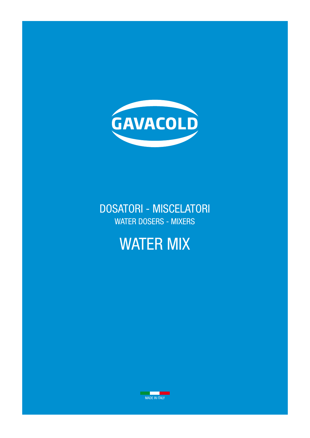

# DOSATORI - MISCELATORI WATER DOSERS - MIXERS

# WATER MIX

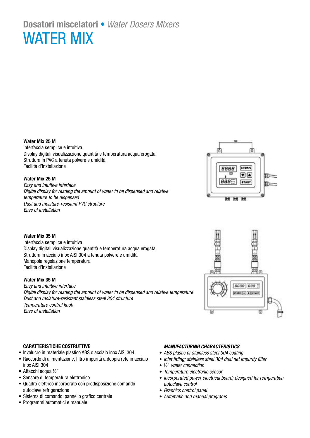# **Dosatori miscelatori** • *Water Dosers Mixers*  WATER MIX

## **Water Mix 25 M**

Interfaccia semplice e intuitiva Display digitali visualizzazione quantità e temperatura acqua erogata Struttura in PVC a tenuta polvere e umidità Facilità d'installazione

## **Water Mix 25 M**

*Easy and intuitive interface Digital display for reading the amount of water to be dispensed and relative temperature to be dispensed Dust and moisture-resistant PVC structure Ease of installation*



## **Water Mix 35 M**

Interfaccia semplice e intuitiva Display digitali visualizzazione quantità e temperatura acqua erogata Struttura in acciaio inox AISI 304 a tenuta polvere e umidità Manopola regolazione temperatura Facilità d'installazione

# **Water Mix 35 M**

*Easy and intuitive interface Digital display for reading the amount of water to be dispensed and relative temperature Dust and moisture-resistant stainless steel 304 structure Temperature control knob Ease of installation*



## **CARATTERISTICHE COSTRUTTIVE**

- Involucro in materiale plastico ABS o acciaio inox AISI 304
- Raccordo di alimentazione, filtro impurità a doppia rete in acciaio inox AISI 304
- Attacchi acqua ½"
- Sensore di temperatura elettronico
- Quadro elettrico incorporato con predisposizione comando autoclave refrigerazione
- Sistema di comando: pannello grafico centrale
- Programmi automatici e manuale

# *MANUFACTURING CHARACTERISTICS*

- *ABS plastic or stainless steel 304 coating*
- *Inlet fitting; stainless steel 304 dual net impurity filter*
- ½" *water connection*
- *Temperature electronic sensor*
- *Incorporated power electrical board; designed for refrigeration autoclave control*
- *Graphics control panel*
- *Automatic and manual programs*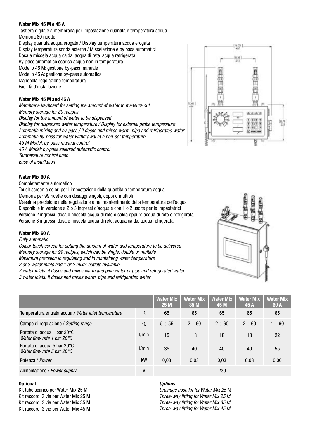## **Water Mix 45 M e 45 A**

Tastiera digitale a membrana per impostazione quantità e temperatura acqua. Memoria 80 ricette

Display quantità acqua erogata / Display temperatura acqua erogata Display temperatura sonda esterna / Miscelazione e by pass automatici Dosa e miscela acqua calda, acqua di rete, acqua refrigerata By-pass automatico scarico acqua non in temperatura Modello 45 M: gestione by-pass manuale Modello 45 A: gestione by-pass automatica Manopola regolazione temperatura Facilità d'installazione

# **Water Mix 45 M and 45 A**

*Membrane keyboard for setting the amount of water to measure out, Memory storage for 80 recipes Display for the amount of water to be dispensed Display for dispensed water temperature / Display for external probe temperature Automatic mixing and by-pass / It doses and mixes warm, pipe and refrigerated water Automatic by-pass for water withdrawal at a non-set temperature 45 M Model: by-pass manual control 45 A Model: by-pass solenoid automatic control Temperature control knob Ease of installation*



# **Water Mix 60 A**

Completamente automatico

Touch screen a colori per l'impostazione della quantità e temperatura acqua Memoria per 99 ricette con dosaggi singoli, doppi o multipli

Massima precisione nella regolazione e nel mantenimento della temperatura dell'acqua Disponibile in versione a 2 o 3 ingressi d'acqua e con 1 o 2 uscite per le impastatrici Versione 2 ingressi: dosa e miscela acqua di rete e calda oppure acqua di rete e refrigerata Versione 3 ingressi: dosa e miscela acqua di rete, acqua calda, acqua refrigerata

## **Water Mix 60 A**

*Fully automatic*

*Colour touch screen for setting the amount of water and temperature to be delivered Memory storage for 99 recipes, which can be single, double or multiple Maximum precision in regulating and in mantaining water temperature*

*2 or 3 water inlets and 1 or 2 mixer outlets available*

*2 water inlets: it doses and mixes warm and pipe water or pipe and refrigerated water 3 water inlets: it doses and mixes warm, pipe and refrigerated water* 

|                                                                              |             | <b>Water Mix</b><br>25M | <b>Water Mix</b><br>35M | <b>Water Mix</b><br>45 M | <b>Water Mix</b><br>45 A | <b>Water Mix</b><br>60A |
|------------------------------------------------------------------------------|-------------|-------------------------|-------------------------|--------------------------|--------------------------|-------------------------|
| Temperatura entrata acqua / Water inlet temperature                          | $^{\circ}C$ | 65                      | 65                      | 65                       | 65                       | 65                      |
| Campo di regolazione / Setting range                                         | °C          | $5 \div 55$             | $2 \div 60$             | $2 \div 60$              | $2 \div 60$              | $1 \div 60$             |
| Portata di acqua 1 bar 20°C<br>Water flow rate 1 bar $20^{\circ}$ C          | l/min       | 15                      | 18                      | 18                       | 18                       | 22                      |
| Portata di acqua 5 bar 20°C<br>Water flow rate 5 bar 20 $\mathrm{^{\circ}C}$ | l/min       | 35                      | 40                      | 40                       | 40                       | 55                      |
| Potenza / Power                                                              | kW          | 0,03                    | 0,03                    | 0,03                     | 0,03                     | 0,06                    |
| Alimentazione / Power supply                                                 | ۷           |                         |                         | 230                      |                          |                         |

## **Optional**

Kit tubo scarico per Water Mix 25 M Kit raccordi 3 vie per Water Mix 25 M Kit raccordi 3 vie per Water Mix 35 M Kit raccordi 3 vie per Water Mix 45 M

## *Options*

*Drainage hose kit for Water Mix 25 M Three-way fitting for Water Mix 25 M Three-way fitting for Water Mix 35 M Three-way fitting for Water Mix 45 M*